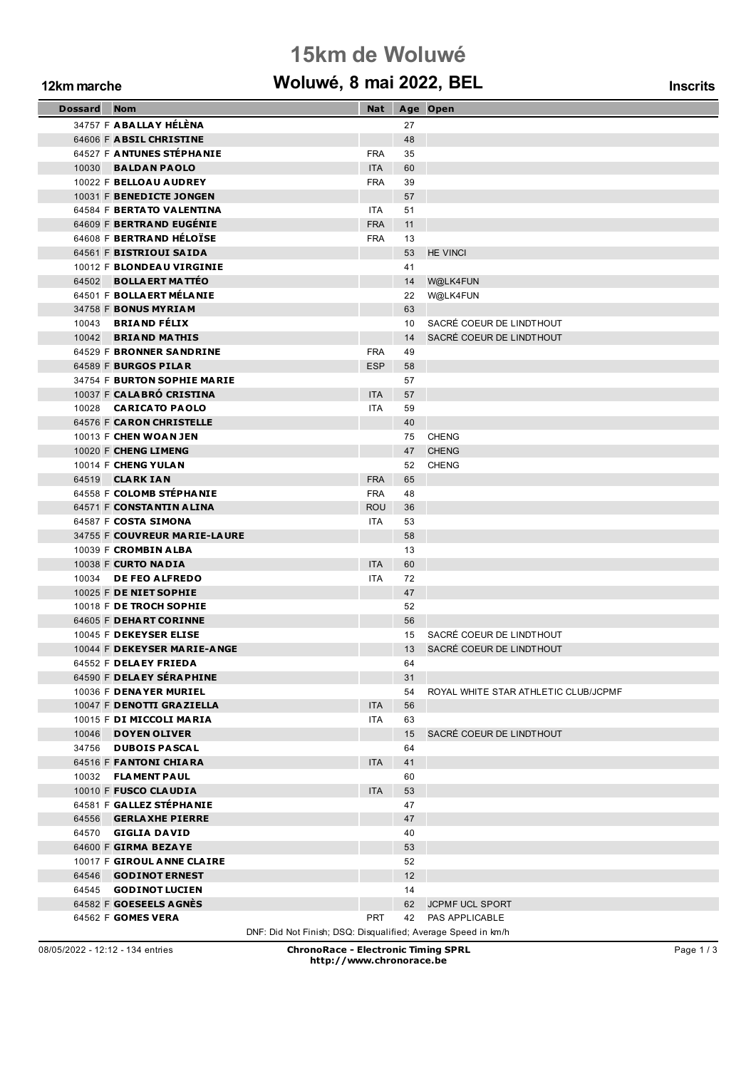### **15km de Woluwé**

### **12km marche Woluwé, 8 mai 2022, BEL Inscrits**

|  |  |  | <b>Inscrits</b> |
|--|--|--|-----------------|
|  |  |  |                 |

| <b>Dossard</b> Nom |                                                               | Nat                      |          | Age Open                             |
|--------------------|---------------------------------------------------------------|--------------------------|----------|--------------------------------------|
|                    | 34757 F ABALLAY HÉLÈNA                                        |                          | 27       |                                      |
|                    | 64606 F ABSIL CHRISTINE                                       |                          | 48       |                                      |
|                    | 64527 F ANTUNES STÉPHANIE                                     | <b>FRA</b>               | 35       |                                      |
|                    | 10030 <b>BALDAN PAOLO</b>                                     | <b>ITA</b>               | 60       |                                      |
|                    | 10022 F BELLOAU AUDREY                                        | <b>FRA</b>               | 39       |                                      |
|                    | 10031 F BENEDICTE JONGEN                                      |                          | 57       |                                      |
|                    | 64584 F BERTATO VALENTINA                                     | <b>ITA</b>               | 51       |                                      |
|                    | 64609 F BERTRAND EUGENIE                                      | <b>FRA</b>               | 11       |                                      |
|                    | 64608 F BERTRAND HÉLOÏSE                                      | <b>FRA</b>               | 13       |                                      |
|                    | 64561 F BISTRIOUI SAIDA                                       |                          | 53       | <b>HE VINCI</b>                      |
|                    | 10012 F BLONDEAU VIRGINIE                                     |                          | 41       |                                      |
|                    | 64502 BOLLAERT MATTÉO                                         |                          | 14       | W@LK4FUN                             |
|                    | 64501 F BOLLA ERT MÉLA NIE                                    |                          | 22       | W@LK4FUN                             |
|                    | 34758 F BONUS MYRIAM                                          |                          | 63       |                                      |
|                    | 10043 BRIAND FÉLIX                                            |                          | 10       | SACRÉ COEUR DE LINDTHOUT             |
|                    | 10042 BRIAND MATHIS                                           |                          | 14       | SACRÉ COEUR DE LINDTHOUT             |
|                    | 64529 F BRONNER SANDRINE                                      | <b>FRA</b>               | 49       |                                      |
|                    | 64589 F BURGOS PILAR                                          | <b>ESP</b>               | 58       |                                      |
|                    | 34754 F BURTON SOPHIE MARIE                                   |                          | 57       |                                      |
|                    | 10037 F CALABRO CRISTINA                                      | <b>ITA</b>               | 57       |                                      |
|                    | 10028 CARICATO PAOLO                                          | <b>ITA</b>               | 59       |                                      |
|                    | 64576 F CARON CHRISTELLE                                      |                          | 40       |                                      |
|                    | 10013 F CHEN WOAN JEN                                         |                          | 75       | CHENG                                |
|                    | 10020 F CHENG LIMENG                                          |                          | 47       | <b>CHENG</b>                         |
|                    | 10014 F CHENG YULAN                                           |                          | 52       | <b>CHENG</b>                         |
|                    | 64519 <b>CLARK IAN</b><br>64558 F COLOMB STÉPHANIE            | <b>FRA</b>               | 65       |                                      |
|                    | 64571 F CONSTANTIN ALINA                                      | <b>FRA</b><br><b>ROU</b> | 48<br>36 |                                      |
|                    | 64587 F COSTA SIMONA                                          | <b>ITA</b>               | 53       |                                      |
|                    | 34755 F COUVREUR MARIE-LAURE                                  |                          | 58       |                                      |
|                    | 10039 F CROMBIN ALBA                                          |                          | 13       |                                      |
|                    | 10038 F CURTO NADIA                                           | <b>ITA</b>               | 60       |                                      |
|                    | 10034 DE FEO ALFREDO                                          | ITA                      | 72       |                                      |
|                    | 10025 F DE NIET SOPHIE                                        |                          | 47       |                                      |
|                    | 10018 F DE TROCH SOPHIE                                       |                          | 52       |                                      |
|                    | 64605 F DEHART CORINNE                                        |                          | 56       |                                      |
|                    | 10045 F DEKEYSER ELISE                                        |                          | 15       | SACRÉ COEUR DE LINDTHOUT             |
|                    | 10044 F DEKEYSER MARIE-ANGE                                   |                          | 13       | SACRÉ COEUR DE LINDTHOUT             |
|                    | 64552 F DELAEY FRIEDA                                         |                          | 64       |                                      |
|                    | 64590 F DELAEY SÉRAPHINE                                      |                          | 31       |                                      |
|                    | 10036 F DENAYER MURIEL                                        |                          | 54       | ROYAL WHITE STAR ATHLETIC CLUB/JCPMF |
|                    | 10047 F DENOTTI GRAZIELLA                                     | <b>ITA</b>               | 56       |                                      |
|                    | 10015 F DI MICCOLI MARIA                                      | ITA                      | 63       |                                      |
|                    | 10046 DOYEN OLIVER                                            |                          | 15       | SACRÉ COEUR DE LINDTHOUT             |
|                    | 34756 DUBOIS PASCAL                                           |                          | 64       |                                      |
|                    | 64516 F FANTONI CHIARA                                        | <b>ITA</b>               | 41       |                                      |
|                    | 10032 FLAMENT PAUL                                            |                          | 60       |                                      |
|                    | 10010 F FUSCO CLAUDIA                                         | <b>ITA</b>               | 53       |                                      |
|                    | 64581 F GALLEZ STÉPHANIE                                      |                          | 47       |                                      |
|                    | 64556 GERLAXHE PIERRE                                         |                          | 47       |                                      |
|                    | 64570 GIGLIA DAVID                                            |                          | 40       |                                      |
|                    | 64600 F GIRMA BEZAYE                                          |                          | 53       |                                      |
|                    | 10017 F GIROUL ANNE CLAIRE                                    |                          | 52       |                                      |
|                    | 64546 <b>GODINOT ERNEST</b>                                   |                          | 12       |                                      |
|                    | 64545 <b>GODINOT LUCIEN</b>                                   |                          | 14       |                                      |
|                    | 64582 F GOESEELS AGNÉS                                        |                          |          | 62 JCPMF UCL SPORT                   |
|                    | 64562 F GOMES VERA                                            | <b>PRT</b>               |          | 42 PAS APPLICABLE                    |
|                    | DNF: Did Not Finish; DSQ: Disqualified; Average Speed in km/h |                          |          |                                      |

08/05/2022 - 12:12 - 134 entries **ChronoRace - Electronic Timing SPRL http://www.chronorace.be**

Page 1 / 3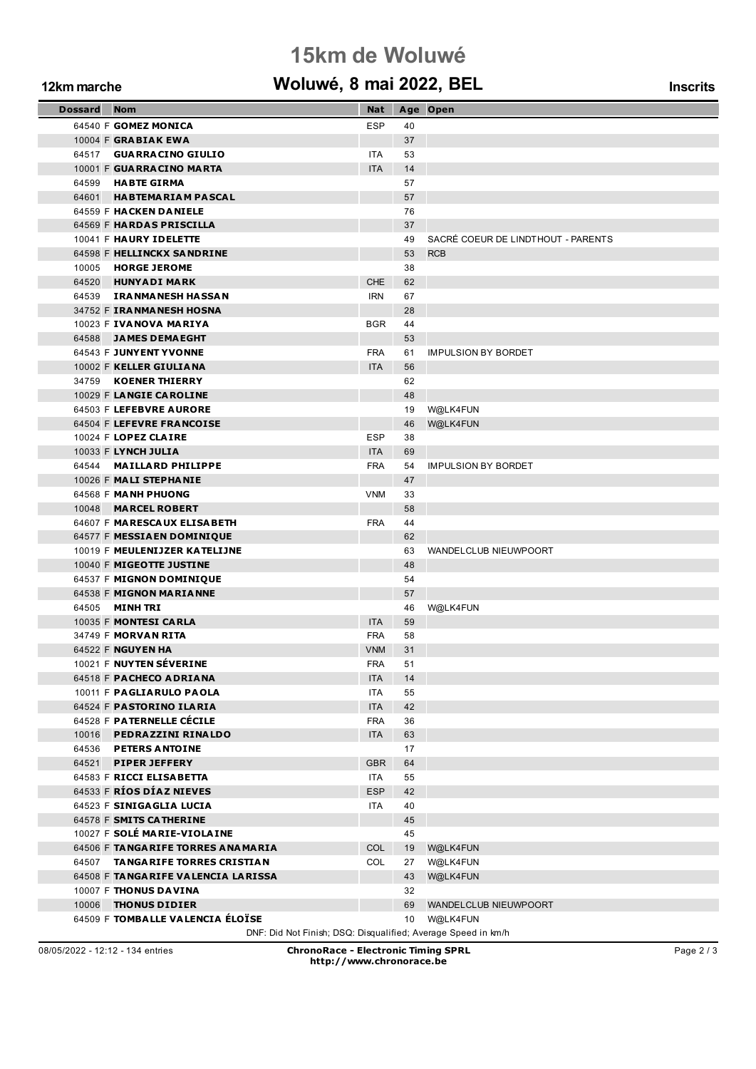# **15km de Woluwé**

#### **12km marche Woluwé, 8 mai 2022, BEL Inscrits**

| <b>Dossard</b> | – Nom                                                         | Nat        |          | Age Open                           |
|----------------|---------------------------------------------------------------|------------|----------|------------------------------------|
|                | 64540 F GOMEZ MONICA                                          | <b>ESP</b> | 40       |                                    |
|                | 10004 F GRABIAK EWA                                           |            | 37       |                                    |
|                | 64517 GUARRACINO GIULIO                                       | <b>ITA</b> | 53       |                                    |
|                | 10001 F GUARRACINO MARTA                                      | <b>ITA</b> | 14       |                                    |
|                | 64599 HABTE GIRMA                                             |            | 57       |                                    |
|                | 64601 HABTEMARIAM PASCAL                                      |            | 57       |                                    |
|                | 64559 F HACKEN DANIELE                                        |            | 76       |                                    |
|                | 64569 F HARDAS PRISCILLA                                      |            | 37       |                                    |
|                | 10041 F HAURY IDELETTE                                        |            | 49       | SACRÉ COEUR DE LINDTHOUT - PARENTS |
|                | 64598 F HELLINCKX SANDRINE                                    |            | 53       | <b>RCB</b>                         |
|                | 10005 HORGE JEROME                                            |            | 38       |                                    |
|                | 64520 HUNYADI MARK                                            | CHE        | 62       |                                    |
|                | 64539 IRANMANESH HASSAN                                       | <b>IRN</b> | 67       |                                    |
|                | 34752 F IRANMANESH HOSNA                                      |            | 28       |                                    |
|                | 10023 F IVANOVA MARIYA                                        | <b>BGR</b> | 44       |                                    |
|                | 64588 JAMES DEMAEGHT                                          |            | 53       |                                    |
|                | 64543 F JUNYENT YVONNE                                        | <b>FRA</b> | 61       | <b>IMPULSION BY BORDET</b>         |
|                | 10002 F KELLER GIULIANA                                       | <b>ITA</b> | 56       |                                    |
|                | 34759 KOENER THIERRY                                          |            | 62       |                                    |
|                | 10029 F LANGIE CAROLINE                                       |            | 48       |                                    |
|                | 64503 F LEFEBVRE AURORE                                       |            | 19       | W@LK4FUN                           |
|                | 64504 F LEFEVRE FRANCOISE                                     |            | 46       | W@LK4FUN                           |
|                | 10024 F LOPEZ CLAIRE                                          | <b>ESP</b> | 38       |                                    |
|                | 10033 F LYNCH JULIA                                           | <b>ITA</b> | 69       |                                    |
|                | 64544 MAILLARD PHILIPPE                                       | <b>FRA</b> | 54       | <b>IMPULSION BY BORDET</b>         |
|                | 10026 F MALI STEPHANIE                                        |            | 47       |                                    |
|                | 64568 F MANH PHUONG                                           | <b>VNM</b> | 33       |                                    |
|                | 10048 MARCEL ROBERT                                           |            | 58       |                                    |
|                | 64607 F MARESCAUX ELISABETH                                   | <b>FRA</b> | 44       |                                    |
|                | 64577 F MESSIA EN DOMINIQUE                                   |            | 62       |                                    |
|                | 10019 F MEULENIJZER KATELIJNE<br>10040 F MIGEOTTE JUSTINE     |            | 63<br>48 | WANDELCLUB NIEUWPOORT              |
|                | 64537 F MIGNON DOMINIQUE                                      |            | 54       |                                    |
|                | 64538 F MIGNON MARIANNE                                       |            | 57       |                                    |
|                | 64505 <b>MINH TRI</b>                                         |            | 46       | W@LK4FUN                           |
|                | 10035 F MONTESI CARLA                                         | <b>ITA</b> | 59       |                                    |
|                | 34749 F <b>MORVAN RITA</b>                                    | <b>FRA</b> | 58       |                                    |
|                | 64522 F NGUYEN HA                                             | <b>VNM</b> | 31       |                                    |
|                | 10021 F NUYTEN SEVERINE                                       | <b>FRA</b> | 51       |                                    |
|                | 64518 F PACHECO ADRIANA                                       | <b>ITA</b> | 14       |                                    |
|                | 10011 F PAGLIARULO PAOLA                                      | ITA        | 55       |                                    |
|                | 64524 F PASTORINO ILARIA                                      | <b>ITA</b> | 42       |                                    |
|                | 64528 F PATERNELLE CÉCILE                                     | <b>FRA</b> | 36       |                                    |
| 10016          | <b>PEDRAZZINI RINALDO</b>                                     | <b>ITA</b> | 63       |                                    |
|                | 64536 PETERS ANTOINE                                          |            | 17       |                                    |
| 64521          | <b>PIPER JEFFERY</b>                                          | <b>GBR</b> | 64       |                                    |
|                | 64583 F RICCI ELISABETTA                                      | ITA.       | 55       |                                    |
|                | 64533 F RÍOS DÍAZ NIEVES                                      | <b>ESP</b> | 42       |                                    |
|                | 64523 F SINIGAGLIA LUCIA                                      | ITA.       | 40       |                                    |
|                | 64578 F SMITS CATHERINE                                       |            | 45       |                                    |
|                | 10027 F SOLÉ MARIE-VIOLAINE                                   |            | 45       |                                    |
|                | 64506 F TANGARIFE TORRES ANAMARIA                             | <b>COL</b> | 19       | W@LK4FUN                           |
|                | 64507 TANGARIFE TORRES CRISTIAN                               | <b>COL</b> | 27       | W@LK4FUN                           |
|                | 64508 F TANGARIFE VALENCIA LARISSA                            |            | 43       | W@LK4FUN                           |
|                | 10007 F THONUS DAVINA                                         |            | 32       |                                    |
| 10006          | <b>THONUS DIDIER</b>                                          |            | 69       | WANDELCLUB NIEUWPOORT              |
|                | 64509 F TOMBALLE VALENCIA ÉLOÏSE                              |            | $10-10$  | W@LK4FUN                           |
|                | DNF: Did Not Finish; DSQ: Disqualified; Average Speed in km/h |            |          |                                    |

08/05/2022 - 12:12 - 134 entries **ChronoRace - Electronic Timing SPRL http://www.chronorace.be**